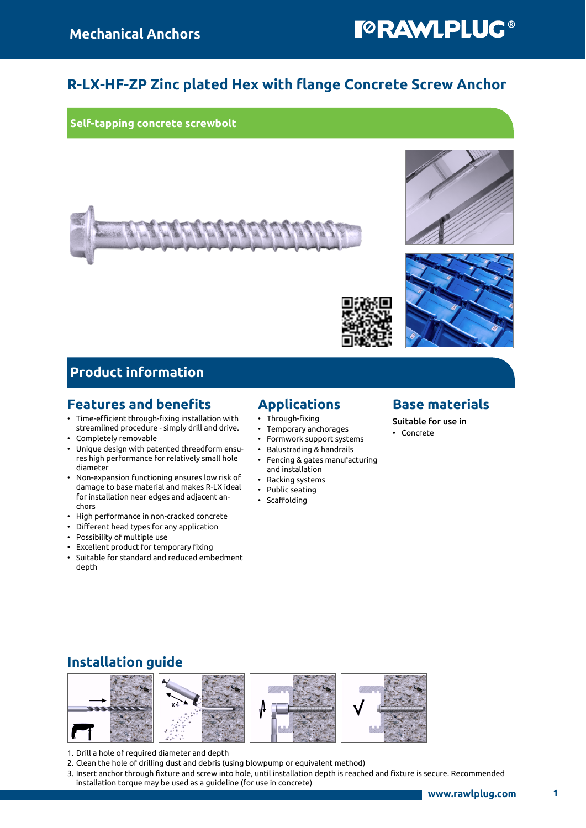## **TORAWLPLUG®**

### R-LX-HF-ZP Zinc plated Hex with flange Concrete Screw Anchor

Self-tapping concrete screwbolt







### Product information

#### Features and benefits

- Time-efficient through-fixing installation with streamlined procedure - simply drill and drive.
- Completely removable
- Unique design with patented threadform ensures high performance for relatively small hole diameter
- Non-expansion functioning ensures low risk of damage to base material and makes R-LX ideal for installation near edges and adjacent anchors
- High performance in non-cracked concrete
- Different head types for any application
- Possibility of multiple use
- Excellent product for temporary fixing
- Suitable for standard and reduced embedment depth

### Applications

- Through-fixing
- Temporary anchorages
- Formwork support systems
- Balustrading & handrails
- Fencing & gates manufacturing and installation
- Racking systems
- Public seating
- Scaffolding

#### Base materials

#### Suitable for use in

• Concrete

### Installation guide



- 1. Drill a hole of required diameter and depth
- 2. Clean the hole of drilling dust and debris (using blowpump or equivalent method)
- 3. Insert anchor through fixture and screw into hole, until installation depth is reached and fixture is secure. Recommended installation torque may be used as a guideline (for use in concrete)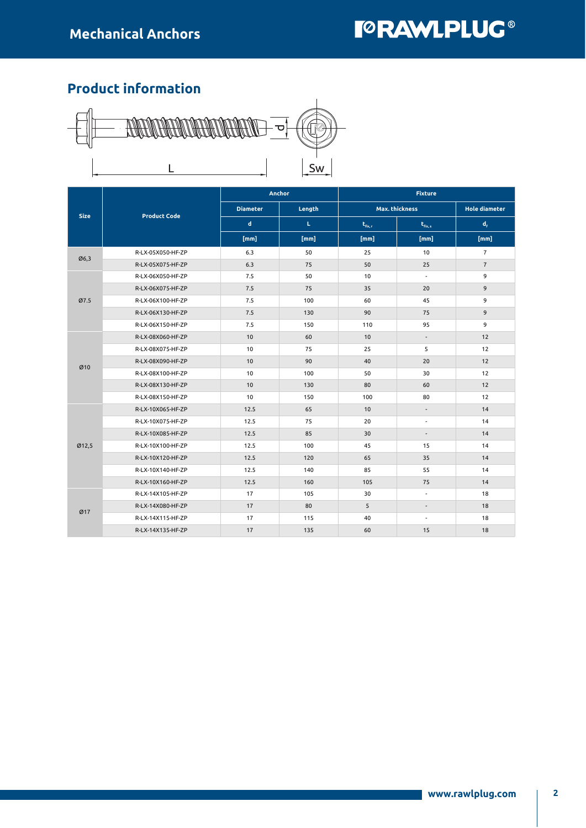## **I©RAWLPLUG®**

## Product information



|             | <b>Product Code</b> |                 | Anchor | <b>Fixture</b> |                          |                      |  |  |
|-------------|---------------------|-----------------|--------|----------------|--------------------------|----------------------|--|--|
| <b>Size</b> |                     | <b>Diameter</b> | Length | Max. thickness |                          | <b>Hole diameter</b> |  |  |
|             |                     | d               | L.     | $t_{fix,r}$    | $t_{fix,s}$              | $d_{\rm f}$          |  |  |
|             |                     | [mm]            | [mm]   | [mm]           | [mm]                     | [mm]                 |  |  |
| Ø6,3        | R-LX-05X050-HF-ZP   | 6.3             | 50     | 25             | 10                       | $\overline{7}$       |  |  |
|             | R-LX-05X075-HF-ZP   | 6.3             | 75     | 50             | 25                       | $\overline{7}$       |  |  |
|             | R-LX-06X050-HF-ZP   | 7.5             | 50     | 10             | $\overline{\phantom{a}}$ | 9                    |  |  |
|             | R-LX-06X075-HF-ZP   | 7.5             | 75     | 35             | 20                       | 9                    |  |  |
| Ø7.5        | R-LX-06X100-HF-ZP   | 7.5             | 100    | 60             | 45                       | 9                    |  |  |
|             | R-LX-06X130-HF-ZP   | 7.5             | 130    | 90             | 75                       | 9                    |  |  |
|             | R-LX-06X150-HF-ZP   | 7.5             | 150    | 110            | 95                       | 9                    |  |  |
|             | R-LX-08X060-HF-ZP   | 10              | 60     | 10             | ÷.                       | 12                   |  |  |
|             | R-LX-08X075-HF-ZP   | 10              | 75     | 25             | 5                        | 12                   |  |  |
| Ø10         | R-LX-08X090-HF-ZP   | 10              | 90     | 40             | 20                       | 12                   |  |  |
|             | R-LX-08X100-HF-ZP   | 10              | 100    | 50             | 30                       | 12                   |  |  |
|             | R-LX-08X130-HF-ZP   | 10              | 130    | 80             | 60                       | 12                   |  |  |
|             | R-LX-08X150-HF-ZP   | 10              | 150    | 100            | 80                       | 12                   |  |  |
|             | R-LX-10X065-HF-ZP   | 12.5            | 65     | 10             |                          | 14                   |  |  |
|             | R-LX-10X075-HF-ZP   | 12.5            | 75     | 20             | $\overline{\phantom{a}}$ | 14                   |  |  |
|             | R-LX-10X085-HF-ZP   | 12.5            | 85     | 30             | $\overline{\phantom{a}}$ | 14                   |  |  |
| Ø12,5       | R-LX-10X100-HF-ZP   | 12.5            | 100    | 45             | 15                       | 14                   |  |  |
|             | R-LX-10X120-HF-ZP   | 12.5            | 120    | 65             | 35                       | 14                   |  |  |
|             | R-LX-10X140-HF-ZP   | 12.5            | 140    | 85             | 55                       | 14                   |  |  |
|             | R-LX-10X160-HF-ZP   | 12.5            | 160    | 105            | 75                       | 14                   |  |  |
| Ø17         | R-LX-14X105-HF-ZP   | 17              | 105    | 30             | $\overline{\phantom{a}}$ | 18                   |  |  |
|             | R-LX-14X080-HF-ZP   | 17              | 80     | 5              | $\overline{\phantom{a}}$ | 18                   |  |  |
|             | R-LX-14X115-HF-ZP   | 17              | 115    | 40             | $\overline{a}$           | 18                   |  |  |
|             | R-LX-14X135-HF-ZP   | 17              | 135    | 60             | 15                       | 18                   |  |  |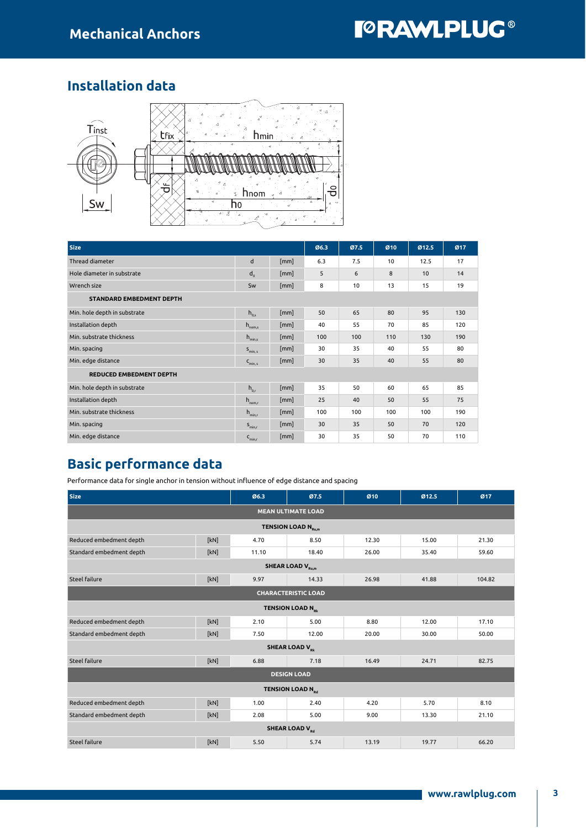## Installation data



| <b>Size</b>                     |                     |      |     | Ø7.5 | Ø <sub>10</sub> | Ø12.5 | Ø17 |  |  |
|---------------------------------|---------------------|------|-----|------|-----------------|-------|-----|--|--|
| Thread diameter                 | d                   | [mm] | 6.3 | 7.5  | 10              | 12.5  | 17  |  |  |
| Hole diameter in substrate      | $d_{0}$             | [mm] | 5   | 6    | 8               | 10    | 14  |  |  |
| Wrench size                     | Sw                  | [mm] | 8   | 10   | 13              | 15    | 19  |  |  |
| <b>STANDARD EMBEDMENT DEPTH</b> |                     |      |     |      |                 |       |     |  |  |
| Min. hole depth in substrate    | $h_{0,s}$           | [mm] | 50  | 65   | 80              | 95    | 130 |  |  |
| Installation depth              | $h_{\text{nom,s}}$  | [mm] | 40  | 55   | 70              | 85    | 120 |  |  |
| Min. substrate thickness        | $h_{\text{min.s}}$  | [mm] | 100 | 100  | 110             | 130   | 190 |  |  |
| Min. spacing                    | $S_{min, s}$        | [mm] | 30  | 35   | 40              | 55    | 80  |  |  |
| Min. edge distance              | $C_{\text{min. s}}$ | [mm] | 30  | 35   | 40              | 55    | 80  |  |  |
| <b>REDUCED EMBEDMENT DEPTH</b>  |                     |      |     |      |                 |       |     |  |  |
| Min. hole depth in substrate    | $h_{0r}$            | [mm] | 35  | 50   | 60              | 65    | 85  |  |  |
| Installation depth              | $h_{\text{nom},r}$  | [mm] | 25  | 40   | 50              | 55    | 75  |  |  |
| Min. substrate thickness        | $h_{min,r}$         | [mm] | 100 | 100  | 100             | 100   | 190 |  |  |
| Min. spacing                    | $S_{min,r}$         | [mm] | 30  | 35   | 50              | 70    | 120 |  |  |
| Min. edge distance              | $C_{min,r}$         | [mm] | 30  | 35   | 50              | 70    | 110 |  |  |

## Basic performance data

Performance data for single anchor in tension without influence of edge distance and spacing

| <b>Size</b>                        |      | Ø6.3  | Ø7.5  | Ø <sub>10</sub> | Ø12.5 | Ø17    |  |  |  |  |
|------------------------------------|------|-------|-------|-----------------|-------|--------|--|--|--|--|
| <b>MEAN ULTIMATE LOAD</b>          |      |       |       |                 |       |        |  |  |  |  |
| TENSION LOAD N <sub>Ru,m</sub>     |      |       |       |                 |       |        |  |  |  |  |
| Reduced embedment depth            | [kN] | 4.70  | 8.50  | 12.30           | 15.00 | 21.30  |  |  |  |  |
| Standard embedment depth           | [kN] | 11.10 | 18.40 | 26.00           | 35.40 | 59.60  |  |  |  |  |
| <b>SHEAR LOAD V<sub>Ru,m</sub></b> |      |       |       |                 |       |        |  |  |  |  |
| <b>Steel failure</b>               | [kN] | 9.97  | 14.33 | 26.98           | 41.88 | 104.82 |  |  |  |  |
| <b>CHARACTERISTIC LOAD</b>         |      |       |       |                 |       |        |  |  |  |  |
| <b>TENSION LOAD N<sub>Rk</sub></b> |      |       |       |                 |       |        |  |  |  |  |
| Reduced embedment depth            | [kN] | 2.10  | 5.00  | 8.80            | 12.00 | 17.10  |  |  |  |  |
| Standard embedment depth           | [kN] | 7.50  | 12.00 | 20.00           | 30.00 | 50.00  |  |  |  |  |
| <b>SHEAR LOAD V<sub>Rk</sub></b>   |      |       |       |                 |       |        |  |  |  |  |
| <b>Steel failure</b>               | [kN] | 6.88  | 7.18  | 16.49           | 24.71 | 82.75  |  |  |  |  |
| <b>DESIGN LOAD</b>                 |      |       |       |                 |       |        |  |  |  |  |
| <b>TENSION LOAD N<sub>pd</sub></b> |      |       |       |                 |       |        |  |  |  |  |
| Reduced embedment depth            | [kN] | 1.00  | 2.40  | 4.20            | 5.70  | 8.10   |  |  |  |  |
| Standard embedment depth           | [kN] | 2.08  | 5.00  | 9.00            | 13.30 | 21.10  |  |  |  |  |
| <b>SHEAR LOAD V<sub>Rd</sub></b>   |      |       |       |                 |       |        |  |  |  |  |
| <b>Steel failure</b>               | [kN] | 5.50  | 5.74  | 13.19           | 19.77 | 66.20  |  |  |  |  |